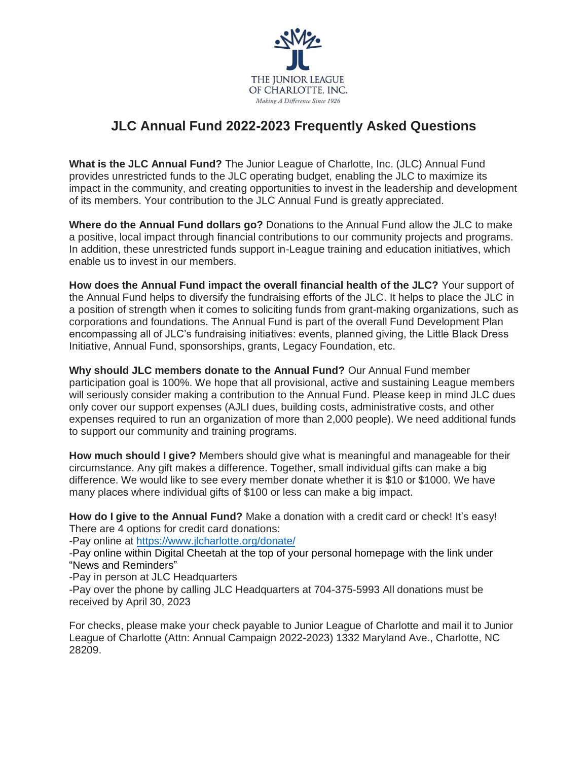

## **JLC Annual Fund 2022-2023 Frequently Asked Questions**

**What is the JLC Annual Fund?** The Junior League of Charlotte, Inc. (JLC) Annual Fund provides unrestricted funds to the JLC operating budget, enabling the JLC to maximize its impact in the community, and creating opportunities to invest in the leadership and development of its members. Your contribution to the JLC Annual Fund is greatly appreciated.

**Where do the Annual Fund dollars go?** Donations to the Annual Fund allow the JLC to make a positive, local impact through financial contributions to our community projects and programs. In addition, these unrestricted funds support in-League training and education initiatives, which enable us to invest in our members.

**How does the Annual Fund impact the overall financial health of the JLC?** Your support of the Annual Fund helps to diversify the fundraising efforts of the JLC. It helps to place the JLC in a position of strength when it comes to soliciting funds from grant-making organizations, such as corporations and foundations. The Annual Fund is part of the overall Fund Development Plan encompassing all of JLC's fundraising initiatives: events, planned giving, the Little Black Dress Initiative, Annual Fund, sponsorships, grants, Legacy Foundation, etc.

**Why should JLC members donate to the Annual Fund?** Our Annual Fund member participation goal is 100%. We hope that all provisional, active and sustaining League members will seriously consider making a contribution to the Annual Fund. Please keep in mind JLC dues only cover our support expenses (AJLI dues, building costs, administrative costs, and other expenses required to run an organization of more than 2,000 people). We need additional funds to support our community and training programs.

**How much should I give?** Members should give what is meaningful and manageable for their circumstance. Any gift makes a difference. Together, small individual gifts can make a big difference. We would like to see every member donate whether it is \$10 or \$1000. We have many places where individual gifts of \$100 or less can make a big impact.

**How do I give to the Annual Fund?** Make a donation with a credit card or check! It's easy! There are 4 options for credit card donations:

-Pay online at<https://www.jlcharlotte.org/donate/>

-Pay online within Digital Cheetah at the top of your personal homepage with the link under "News and Reminders"

-Pay in person at JLC Headquarters

-Pay over the phone by calling JLC Headquarters at 704-375-5993 All donations must be received by April 30, 2023

For checks, please make your check payable to Junior League of Charlotte and mail it to Junior League of Charlotte (Attn: Annual Campaign 2022-2023) 1332 Maryland Ave., Charlotte, NC 28209.